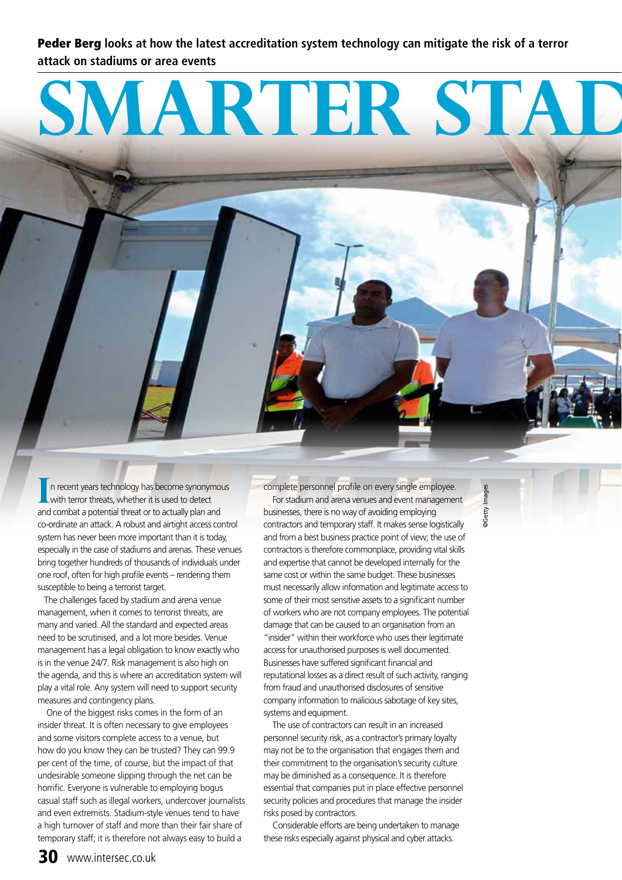Peder Berg **looks at how the latest accreditation system technology can mitigate the risk of a terror attack on stadiums or area events**

# **SMARTER STAD**

 n recent years technology has become synonymous with terror threats, whether it is used to detect and combat a potential threat or to actually plan and co-ordinate an attack. A robust and airtight access control system has never been more important than it is today, especially in the case of stadiums and arenas. These venues bring together hundreds of thousands of individuals under one roof, often for high profile events – rendering them susceptible to being a terrorist target.

 The challenges faced by stadium and arena venue management, when it comes to terrorist threats, are many and varied. All the standard and expected areas need to be scrutinised, and a lot more besides. Venue management has a legal obligation to know exactly who is in the venue 24/7. Risk management is also high on the agenda, and this is where an accreditation system will play a vital role. Any system will need to support security measures and contingency plans.

One of the biggest risks comes in the form of an insider threat. It is often necessary to give employees and some visitors complete access to a venue, but how do you know they can be trusted? They can 99.9 per cent of the time, of course, but the impact of that undesirable someone slipping through the net can be horrific. Everyone is vulnerable to employing bogus casual staff such as illegal workers, undercover journalists and even extremists. Stadium-style venues tend to have a high turnover of staff and more than their fair share of temporary staff; it is therefore not always easy to build a

In recent years technology has become synonymous complete personnel profile on every single employee.<br>
With terror threats, whether it is used to detect<br>
and combat a patential threat or to actually plan and businesses, there is no way of avoiding employing contractors and temporary staff. It makes sense logistically and from a best business practice point of view; the use of contractors is therefore commonplace, providing vital skills and expertise that cannot be developed internally for the same cost or within the same budget. These businesses must necessarily allow information and legitimate access to some of their most sensitive assets to a significant number of workers who are not company employees. The potential damage that can be caused to an organisation from an "insider" within their workforce who uses their legitimate access for unauthorised purposes is well documented. Businesses have suffered significant financial and reputational losses as a direct result of such activity, ranging from fraud and unauthorised disclosures of sensitive company information to malicious sabotage of key sites, systems and equipment.

> The use of contractors can result in an increased personnel security risk, as a contractor's primary loyalty may not be to the organisation that engages them and their commitment to the organisation's security culture may be diminished as a consequence. It is therefore essential that companies put in place effective personnel security policies and procedures that manage the insider risks posed by contractors.

Considerable efforts are being undertaken to manage these risks especially against physical and cyber attacks.

**DGetty** Images ©Getty Images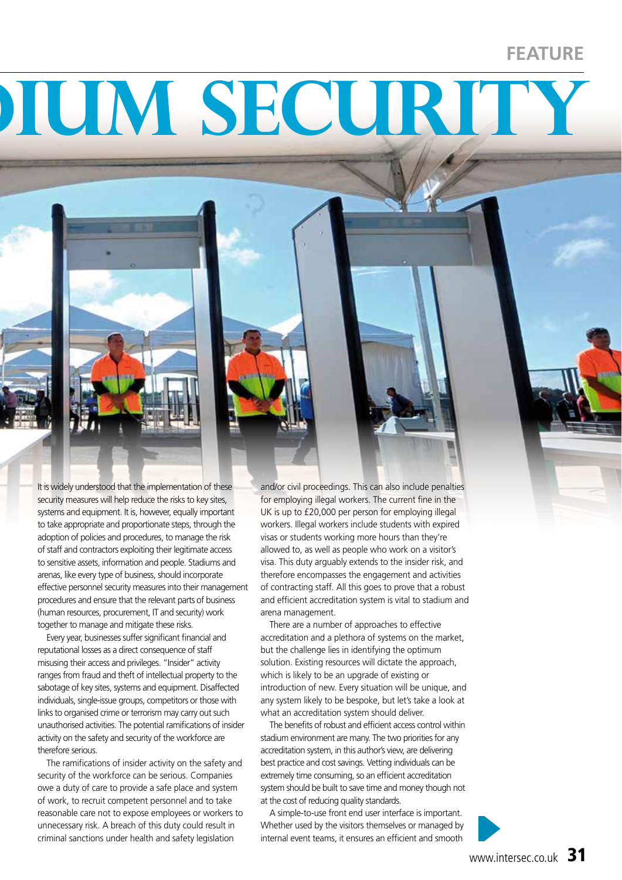#### **FEATURE**

## **Smarter stadium security**



Every year, businesses suffer significant financial and reputational losses as a direct consequence of staff misusing their access and privileges. "Insider" activity ranges from fraud and theft of intellectual property to the sabotage of key sites, systems and equipment. Disaffected individuals, single-issue groups, competitors or those with links to organised crime or terrorism may carry out such unauthorised activities. The potential ramifications of insider activity on the safety and security of the workforce are therefore serious.

The ramifications of insider activity on the safety and security of the workforce can be serious. Companies owe a duty of care to provide a safe place and system of work, to recruit competent personnel and to take reasonable care not to expose employees or workers to unnecessary risk. A breach of this duty could result in criminal sanctions under health and safety legislation

and/or civil proceedings. This can also include penalties for employing illegal workers. The current fine in the UK is up to £20,000 per person for employing illegal workers. Illegal workers include students with expired visas or students working more hours than they're allowed to, as well as people who work on a visitor's visa. This duty arguably extends to the insider risk, and therefore encompasses the engagement and activities of contracting staff. All this goes to prove that a robust and efficient accreditation system is vital to stadium and arena management.

There are a number of approaches to effective accreditation and a plethora of systems on the market, but the challenge lies in identifying the optimum solution. Existing resources will dictate the approach, which is likely to be an upgrade of existing or introduction of new. Every situation will be unique, and any system likely to be bespoke, but let's take a look at what an accreditation system should deliver.

The benefits of robust and efficient access control within stadium environment are many. The two priorities for any accreditation system, in this author's view, are delivering best practice and cost savings. Vetting individuals can be extremely time consuming, so an efficient accreditation system should be built to save time and money though not at the cost of reducing quality standards.

A simple-to-use front end user interface is important. Whether used by the visitors themselves or managed by internal event teams, it ensures an efficient and smooth